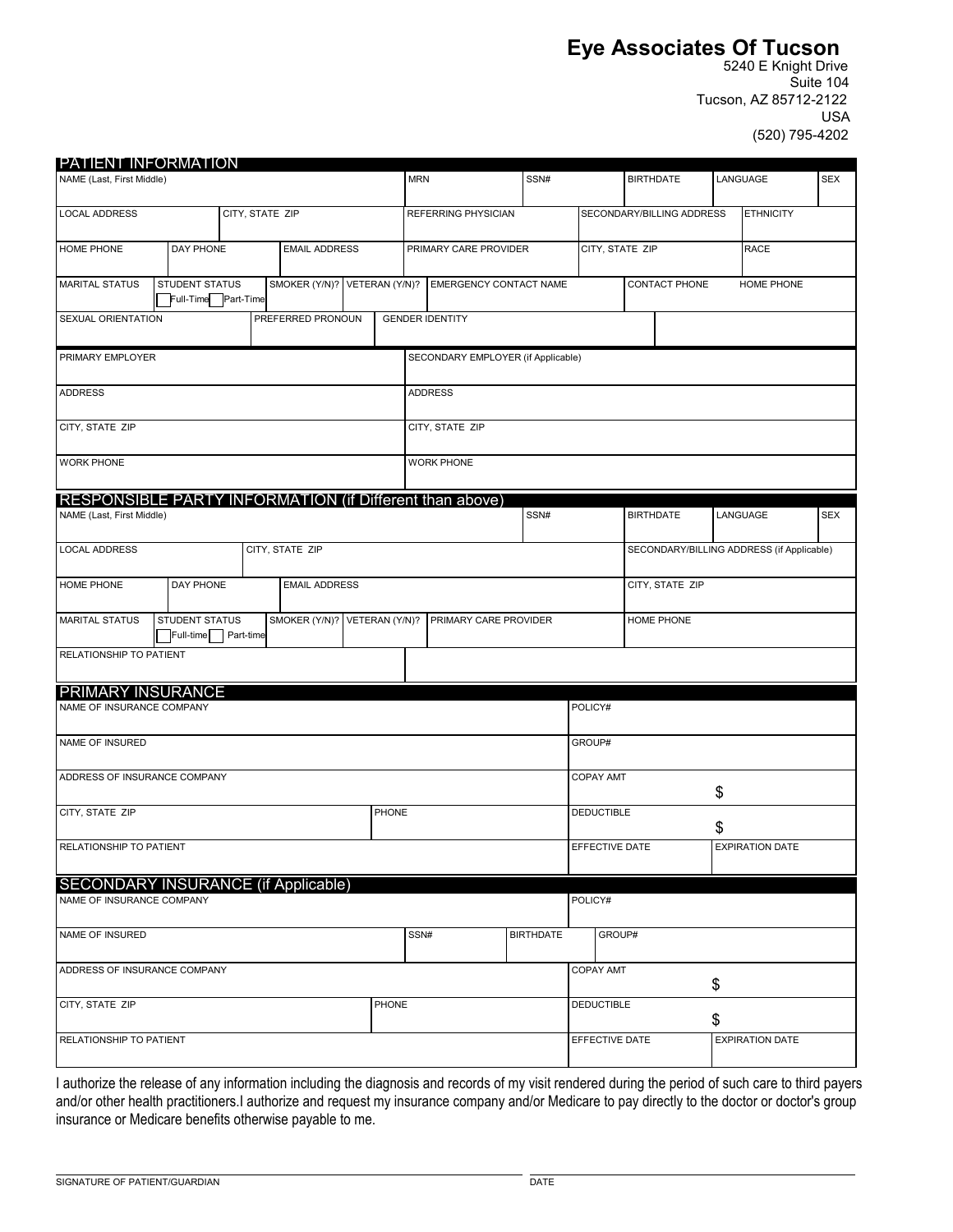# **Eye Associates Of Tucson**

5240 E Knight Drive Suite 104 Tucson, AZ 85712-2122 USA (520) 795-4202

| <b>PATIENT INFORMATION</b>                                                           |                      |                |            |                                       |                  |                           |                             |                  |                        |                                           |            |  |
|--------------------------------------------------------------------------------------|----------------------|----------------|------------|---------------------------------------|------------------|---------------------------|-----------------------------|------------------|------------------------|-------------------------------------------|------------|--|
| NAME (Last, First Middle)                                                            |                      |                | <b>MRN</b> |                                       | SSN#             |                           |                             | <b>BIRTHDATE</b> |                        | LANGUAGE                                  |            |  |
| <b>LOCAL ADDRESS</b>                                                                 | CITY, STATE ZIP      |                |            | REFERRING PHYSICIAN                   |                  | SECONDARY/BILLING ADDRESS |                             |                  | <b>ETHNICITY</b>       |                                           |            |  |
| DAY PHONE<br>HOME PHONE                                                              | <b>EMAIL ADDRESS</b> |                |            | PRIMARY CARE PROVIDER                 |                  | CITY, STATE ZIP           |                             | <b>RACE</b>      |                        |                                           |            |  |
| SMOKER (Y/N)?<br><b>MARITAL STATUS</b><br>STUDENT STATUS<br>Full-Time Part-Time      |                      |                |            | VETERAN (Y/N)? EMERGENCY CONTACT NAME |                  |                           | CONTACT PHONE<br>HOME PHONE |                  |                        |                                           |            |  |
| SEXUAL ORIENTATION<br>PREFERRED PRONOUN                                              |                      |                |            | <b>GENDER IDENTITY</b>                |                  |                           |                             |                  |                        |                                           |            |  |
| PRIMARY EMPLOYER                                                                     |                      |                |            | SECONDARY EMPLOYER (if Applicable)    |                  |                           |                             |                  |                        |                                           |            |  |
| <b>ADDRESS</b>                                                                       |                      |                |            | <b>ADDRESS</b>                        |                  |                           |                             |                  |                        |                                           |            |  |
| CITY, STATE ZIP                                                                      |                      |                |            | CITY, STATE ZIP                       |                  |                           |                             |                  |                        |                                           |            |  |
| <b>WORK PHONE</b>                                                                    |                      |                |            | <b>WORK PHONE</b>                     |                  |                           |                             |                  |                        |                                           |            |  |
| RESPONSIBLE PARTY INFORMATION (if Different than above)<br>NAME (Last, First Middle) |                      |                |            |                                       | SSN#             |                           | <b>BIRTHDATE</b>            |                  |                        | LANGUAGE                                  | <b>SEX</b> |  |
| <b>LOCAL ADDRESS</b><br>CITY, STATE ZIP                                              |                      |                |            |                                       |                  |                           |                             |                  |                        | SECONDARY/BILLING ADDRESS (if Applicable) |            |  |
| DAY PHONE<br>HOME PHONE                                                              | <b>EMAIL ADDRESS</b> |                |            |                                       |                  | CITY, STATE ZIP           |                             |                  |                        |                                           |            |  |
| <b>MARITAL STATUS</b><br>STUDENT STATUS<br>Part-time<br>Full-time                    | SMOKER (Y/N)?        | VETERAN (Y/N)? |            | PRIMARY CARE PROVIDER                 |                  |                           |                             | HOME PHONE       |                        |                                           |            |  |
| RELATIONSHIP TO PATIENT                                                              |                      |                |            |                                       |                  |                           |                             |                  |                        |                                           |            |  |
|                                                                                      |                      |                |            |                                       |                  |                           |                             |                  |                        |                                           |            |  |
| <b>PRIMARY INSURANCE</b><br>NAME OF INSURANCE COMPANY                                |                      |                |            |                                       |                  | POLICY#                   |                             |                  |                        |                                           |            |  |
| NAME OF INSURED                                                                      |                      |                |            |                                       |                  | GROUP#                    |                             |                  |                        |                                           |            |  |
| ADDRESS OF INSURANCE COMPANY                                                         |                      |                |            |                                       |                  |                           | <b>COPAY AMT</b>            |                  |                        | \$                                        |            |  |
| CITY, STATE ZIP<br>PHONE                                                             |                      |                |            |                                       |                  |                           | <b>DEDUCTIBLE</b>           |                  |                        | \$                                        |            |  |
| RELATIONSHIP TO PATIENT                                                              |                      |                |            | EFFECTIVE DATE                        |                  |                           |                             |                  | <b>EXPIRATION DATE</b> |                                           |            |  |
| <b>SECONDARY INSURANCE (if Applicable)</b><br>NAME OF INSURANCE COMPANY              |                      |                |            |                                       |                  | POLICY#                   |                             |                  |                        |                                           |            |  |
|                                                                                      |                      |                |            |                                       |                  |                           |                             |                  |                        |                                           |            |  |
| NAME OF INSURED                                                                      |                      |                | SSN#       |                                       | <b>BIRTHDATE</b> | GROUP#                    |                             |                  |                        |                                           |            |  |
| ADDRESS OF INSURANCE COMPANY                                                         |                      |                |            |                                       |                  | <b>COPAY AMT</b>          |                             |                  | \$                     |                                           |            |  |
| PHONE<br>CITY, STATE ZIP                                                             |                      |                |            | <b>DEDUCTIBLE</b>                     |                  |                           | \$                          |                  |                        |                                           |            |  |
| RELATIONSHIP TO PATIENT                                                              |                      |                |            |                                       |                  | EFFECTIVE DATE            |                             |                  |                        | <b>EXPIRATION DATE</b>                    |            |  |

I authorize the release of any information including the diagnosis and records of my visit rendered during the period of such care to third payers and/or other health practitioners.I authorize and request my insurance company and/or Medicare to pay directly to the doctor or doctor's group insurance or Medicare benefits otherwise payable to me.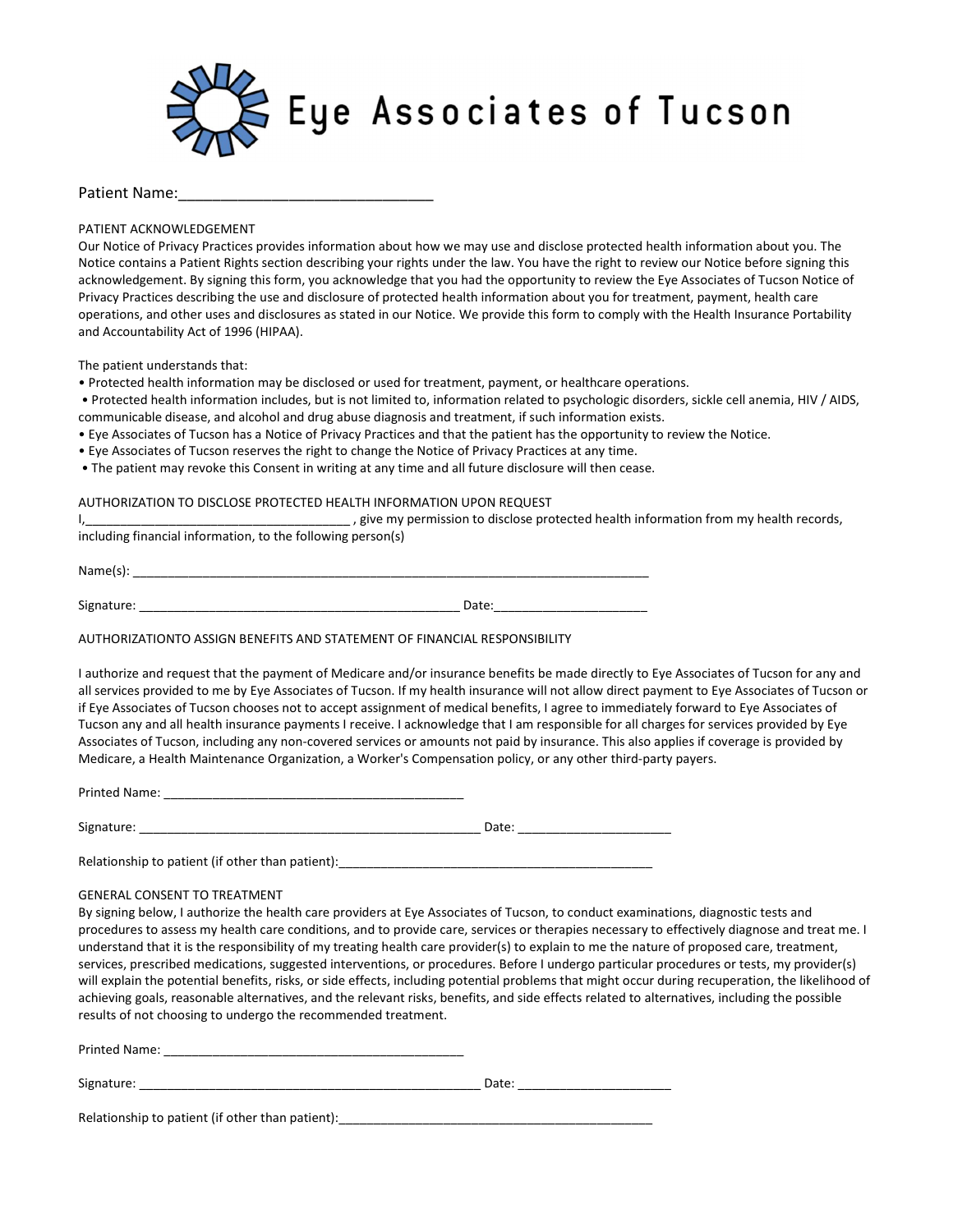

#### Patient Name:

PATIENT ACKNOWLEDGEMENT

Our Notice of Privacy Practices provides information about how we may use and disclose protected health information about you. The Notice contains a Patient Rights section describing your rights under the law. You have the right to review our Notice before signing this acknowledgement. By signing this form, you acknowledge that you had the opportunity to review the Eye Associates of Tucson Notice of Privacy Practices describing the use and disclosure of protected health information about you for treatment, payment, health care operations, and other uses and disclosures as stated in our Notice. We provide this form to comply with the Health Insurance Portability and Accountability Act of 1996 (HIPAA).

The patient understands that:

- Protected health information may be disclosed or used for treatment, payment, or healthcare operations.
- Protected health information includes, but is not limited to, information related to psychologic disorders, sickle cell anemia, HIV / AIDS, communicable disease, and alcohol and drug abuse diagnosis and treatment, if such information exists.
- Eye Associates of Tucson has a Notice of Privacy Practices and that the patient has the opportunity to review the Notice.
- Eye Associates of Tucson reserves the right to change the Notice of Privacy Practices at any time.
- The patient may revoke this Consent in writing at any time and all future disclosure will then cease.

#### AUTHORIZATION TO DISCLOSE PROTECTED HEALTH INFORMATION UPON REQUEST

I,\_\_\_\_\_\_\_\_\_\_\_\_\_\_\_\_\_\_\_\_\_\_\_\_\_\_\_\_\_\_\_\_\_\_\_\_\_\_ , give my permission to disclose protected health information from my health records, including financial information, to the following person(s)

 $Name(s): \_\_$ 

Signature: \_\_\_\_\_\_\_\_\_\_\_\_\_\_\_\_\_\_\_\_\_\_\_\_\_\_\_\_\_\_\_\_\_\_\_\_\_\_\_\_\_\_\_\_\_\_ Date:\_\_\_\_\_\_\_\_\_\_\_\_\_\_\_\_\_\_\_\_\_\_

AUTHORIZATIONTO ASSIGN BENEFITS AND STATEMENT OF FINANCIAL RESPONSIBILITY

I authorize and request that the payment of Medicare and/or insurance benefits be made directly to Eye Associates of Tucson for any and all services provided to me by Eye Associates of Tucson. If my health insurance will not allow direct payment to Eye Associates of Tucson or if Eye Associates of Tucson chooses not to accept assignment of medical benefits, I agree to immediately forward to Eye Associates of Tucson any and all health insurance payments I receive. I acknowledge that I am responsible for all charges for services provided by Eye Associates of Tucson, including any non-covered services or amounts not paid by insurance. This also applies if coverage is provided by Medicare, a Health Maintenance Organization, a Worker's Compensation policy, or any other third-party payers.

Printed Name: \_\_\_\_\_\_\_\_\_\_\_\_\_\_\_\_\_\_\_\_\_\_\_\_\_\_\_\_\_\_\_\_\_\_\_\_\_\_\_\_\_\_\_

Signature: \_\_\_\_\_\_\_\_\_\_\_\_\_\_\_\_\_\_\_\_\_\_\_\_\_\_\_\_\_\_\_\_\_\_\_\_\_\_\_\_\_\_\_\_\_\_\_\_\_ Date: \_\_\_\_\_\_\_\_\_\_\_\_\_\_\_\_\_\_\_\_\_\_

Relationship to patient (if other than patient):\_\_\_\_\_\_\_\_\_\_\_\_\_\_\_\_\_\_\_\_\_\_\_\_\_\_\_\_\_\_\_\_\_\_\_\_\_\_\_\_\_\_\_\_\_

#### GENERAL CONSENT TO TREATMENT

By signing below, I authorize the health care providers at Eye Associates of Tucson, to conduct examinations, diagnostic tests and procedures to assess my health care conditions, and to provide care, services or therapies necessary to effectively diagnose and treat me. I understand that it is the responsibility of my treating health care provider(s) to explain to me the nature of proposed care, treatment, services, prescribed medications, suggested interventions, or procedures. Before I undergo particular procedures or tests, my provider(s) will explain the potential benefits, risks, or side effects, including potential problems that might occur during recuperation, the likelihood of achieving goals, reasonable alternatives, and the relevant risks, benefits, and side effects related to alternatives, including the possible results of not choosing to undergo the recommended treatment.

| Printed Name:                                    |       |
|--------------------------------------------------|-------|
| Signature:                                       | Date: |
| Relationship to patient (if other than patient): |       |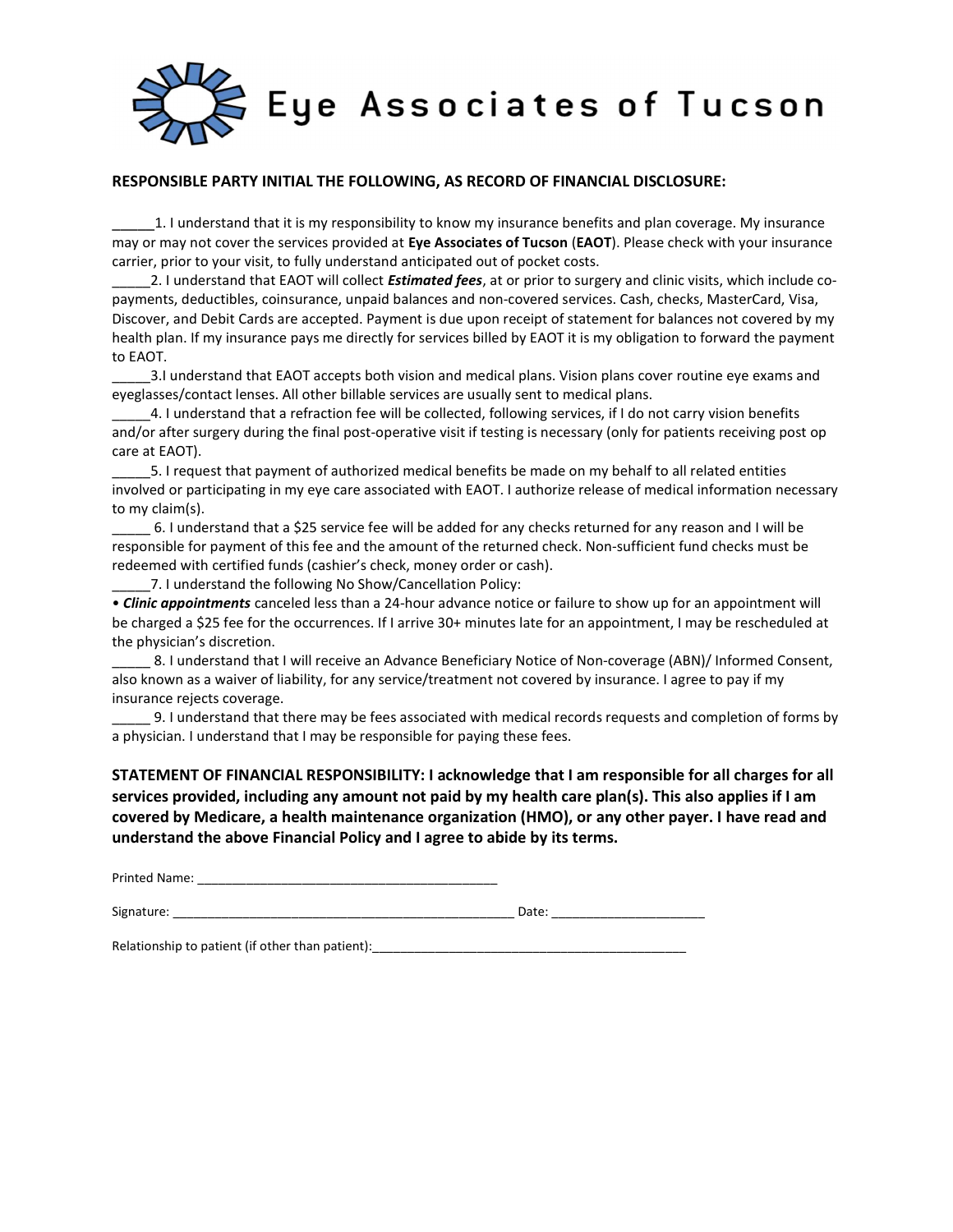

### RESPONSIBLE PARTY INITIAL THE FOLLOWING, AS RECORD OF FINANCIAL DISCLOSURE:

1. I understand that it is my responsibility to know my insurance benefits and plan coverage. My insurance may or may not cover the services provided at Eye Associates of Tucson (EAOT). Please check with your insurance carrier, prior to your visit, to fully understand anticipated out of pocket costs.

2. I understand that EAOT will collect *Estimated fees*, at or prior to surgery and clinic visits, which include copayments, deductibles, coinsurance, unpaid balances and non-covered services. Cash, checks, MasterCard, Visa, Discover, and Debit Cards are accepted. Payment is due upon receipt of statement for balances not covered by my health plan. If my insurance pays me directly for services billed by EAOT it is my obligation to forward the payment to EAOT.

\_\_\_\_\_3.I understand that EAOT accepts both vision and medical plans. Vision plans cover routine eye exams and eyeglasses/contact lenses. All other billable services are usually sent to medical plans.

\_\_\_\_\_4. I understand that a refraction fee will be collected, following services, if I do not carry vision benefits and/or after surgery during the final post-operative visit if testing is necessary (only for patients receiving post op care at EAOT).

\_\_\_\_\_5. I request that payment of authorized medical benefits be made on my behalf to all related entities involved or participating in my eye care associated with EAOT. I authorize release of medical information necessary to my claim(s).

\_\_\_\_\_ 6. I understand that a \$25 service fee will be added for any checks returned for any reason and I will be responsible for payment of this fee and the amount of the returned check. Non-sufficient fund checks must be redeemed with certified funds (cashier's check, money order or cash).

7. I understand the following No Show/Cancellation Policy:

• Clinic appointments canceled less than a 24-hour advance notice or failure to show up for an appointment will be charged a \$25 fee for the occurrences. If I arrive 30+ minutes late for an appointment, I may be rescheduled at the physician's discretion.

8. I understand that I will receive an Advance Beneficiary Notice of Non-coverage (ABN)/ Informed Consent, also known as a waiver of liability, for any service/treatment not covered by insurance. I agree to pay if my insurance rejects coverage.

\_\_\_\_\_ 9. I understand that there may be fees associated with medical records requests and completion of forms by a physician. I understand that I may be responsible for paying these fees.

STATEMENT OF FINANCIAL RESPONSIBILITY: I acknowledge that I am responsible for all charges for all services provided, including any amount not paid by my health care plan(s). This also applies if I am covered by Medicare, a health maintenance organization (HMO), or any other payer. I have read and understand the above Financial Policy and I agree to abide by its terms.

Printed Name: **Example 20** and 20 and 20 and 20 and 20 and 20 and 20 and 20 and 20 and 20 and 20 and 20 and 20 and 20 and 20 and 20 and 20 and 20 and 20 and 20 and 20 and 20 and 20 and 20 and 20 and 20 and 20 and 20 and 20

Signature: \_\_\_\_\_\_\_\_\_\_\_\_\_\_\_\_\_\_\_\_\_\_\_\_\_\_\_\_\_\_\_\_\_\_\_\_\_\_\_\_\_\_\_\_\_\_\_\_\_ Date: \_\_\_\_\_\_\_\_\_\_\_\_\_\_\_\_\_\_\_\_\_\_

Relationship to patient (if other than patient): \_\_\_\_\_\_\_\_\_\_\_\_\_\_\_\_\_\_\_\_\_\_\_\_\_\_\_\_\_\_\_